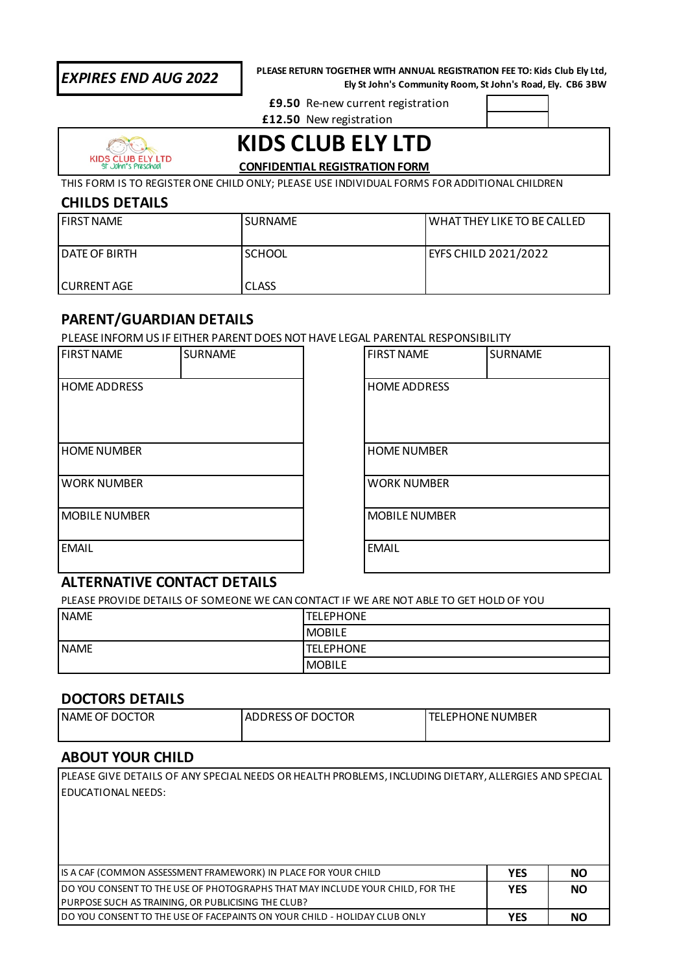**PLEASE RETURN TOGETHER WITH ANNUAL REGISTRATION FEE TO: Kids Club Ely Ltd, Ely St John's Community Room, St John's Road, Ely. CB6 3BW** *EXPIRES END AUG 2022*

**£9.50** Re-new current registration

**£12.50** New registration



**KIDS CLUB ELY LTD**

**CONFIDENTIAL REGISTRATION FORM**

THIS FORM IS TO REGISTER ONE CHILD ONLY; PLEASE USE INDIVIDUAL FORMS FOR ADDITIONAL CHILDREN

## **CHILDS DETAILS**

| <b>I FIRST NAME</b>    | <b>SURNAME</b> | WHAT THEY LIKE TO BE CALLED |
|------------------------|----------------|-----------------------------|
| <b>I DATE OF BIRTH</b> | <b>SCHOOL</b>  | EYFS CHILD 2021/2022        |
| I CURRENT AGE          | <b>CLASS</b>   |                             |

# **PARENT/GUARDIAN DETAILS**

PLEASE INFORM US IF EITHER PARENT DOES NOT HAVE LEGAL PARENTAL RESPONSIBILITY

| <b>FIRST NAME</b>    | <b>SURNAME</b> | <b>FIRST NAME</b>    | <b>SURNAME</b> |  |
|----------------------|----------------|----------------------|----------------|--|
| <b>HOME ADDRESS</b>  |                | <b>HOME ADDRESS</b>  |                |  |
| <b>HOME NUMBER</b>   |                | <b>HOME NUMBER</b>   |                |  |
| <b>WORK NUMBER</b>   |                | <b>WORK NUMBER</b>   |                |  |
| <b>MOBILE NUMBER</b> |                | <b>MOBILE NUMBER</b> |                |  |
| <b>EMAIL</b>         |                | <b>EMAIL</b>         |                |  |
|                      |                |                      |                |  |

# **ALTERNATIVE CONTACT DETAILS**

PLEASE PROVIDE DETAILS OF SOMEONE WE CAN CONTACT IF WE ARE NOT ABLE TO GET HOLD OF YOU

| <b>NAME</b> | <b>TELEPHONE</b> |
|-------------|------------------|
|             | <b>MOBILE</b>    |
| <b>NAME</b> | <b>TELEPHONE</b> |
|             | <b>MOBILE</b>    |

# **DOCTORS DETAILS**

| OF DOCT<br>`Tor<br><b>NAME</b> | OF DOCTOR<br><b>ADDRESS</b> | <b>JMBER</b><br>'ONE NL<br><b>FDHC</b> |
|--------------------------------|-----------------------------|----------------------------------------|
|                                |                             |                                        |

# **ABOUT YOUR CHILD**

| PLEASE GIVE DETAILS OF ANY SPECIAL NEEDS OR HEALTH PROBLEMS, INCLUDING DIETARY, ALLERGIES AND SPECIAL |            |           |
|-------------------------------------------------------------------------------------------------------|------------|-----------|
| EDUCATIONAL NEEDS:                                                                                    |            |           |
|                                                                                                       |            |           |
|                                                                                                       |            |           |
|                                                                                                       |            |           |
|                                                                                                       |            |           |
| IS A CAF (COMMON ASSESSMENT FRAMEWORK) IN PLACE FOR YOUR CHILD                                        | <b>YES</b> | <b>NO</b> |
| DO YOU CONSENT TO THE USE OF PHOTOGRAPHS THAT MAY INCLUDE YOUR CHILD, FOR THE                         | <b>YES</b> | <b>NO</b> |
| PURPOSE SUCH AS TRAINING, OR PUBLICISING THE CLUB?                                                    |            |           |
| DO YOU CONSENT TO THE USE OF FACEPAINTS ON YOUR CHILD - HOLIDAY CLUB ONLY                             | <b>YES</b> | NΟ        |